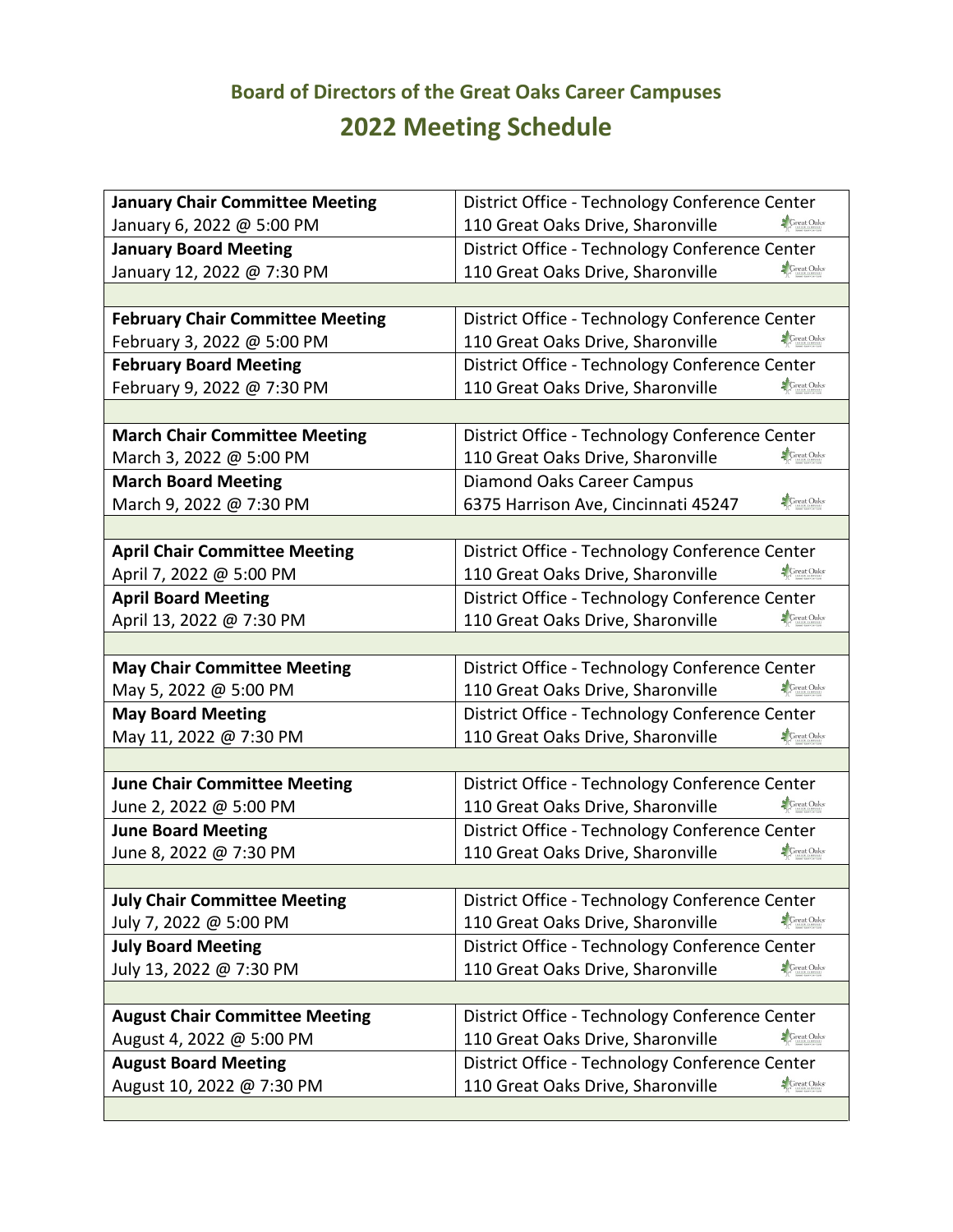## **Board of Directors of the Great Oaks Career Campuses 2022 Meeting Schedule**

| <b>January Chair Committee Meeting</b>  | District Office - Technology Conference Center             |
|-----------------------------------------|------------------------------------------------------------|
| January 6, 2022 @ 5:00 PM               | <b>S</b> Great Oaks<br>110 Great Oaks Drive, Sharonville   |
| <b>January Board Meeting</b>            | District Office - Technology Conference Center             |
| January 12, 2022 @ 7:30 PM              | <b>S</b> Great Oaks<br>110 Great Oaks Drive, Sharonville   |
|                                         |                                                            |
| <b>February Chair Committee Meeting</b> | District Office - Technology Conference Center             |
| February 3, 2022 @ 5:00 PM              | <b>S</b> Great Oaks<br>110 Great Oaks Drive, Sharonville   |
| <b>February Board Meeting</b>           | District Office - Technology Conference Center             |
| February 9, 2022 @ 7:30 PM              | <b>S</b> Great Oaks<br>110 Great Oaks Drive, Sharonville   |
|                                         |                                                            |
| <b>March Chair Committee Meeting</b>    | District Office - Technology Conference Center             |
| March 3, 2022 @ 5:00 PM                 | <b>S</b> Great Oaks<br>110 Great Oaks Drive, Sharonville   |
| <b>March Board Meeting</b>              | <b>Diamond Oaks Career Campus</b>                          |
| March 9, 2022 @ 7:30 PM                 | <b>S</b> Great Oaks<br>6375 Harrison Ave, Cincinnati 45247 |
|                                         |                                                            |
| <b>April Chair Committee Meeting</b>    | District Office - Technology Conference Center             |
| April 7, 2022 @ 5:00 PM                 | <b>S</b> Great Oaks<br>110 Great Oaks Drive, Sharonville   |
| <b>April Board Meeting</b>              | District Office - Technology Conference Center             |
| April 13, 2022 @ 7:30 PM                | <b>S</b> Great Oaks<br>110 Great Oaks Drive, Sharonville   |
|                                         |                                                            |
| <b>May Chair Committee Meeting</b>      | District Office - Technology Conference Center             |
| May 5, 2022 @ 5:00 PM                   | <b>S</b> Great Oaks<br>110 Great Oaks Drive, Sharonville   |
| <b>May Board Meeting</b>                | District Office - Technology Conference Center             |
| May 11, 2022 @ 7:30 PM                  | 110 Great Oaks Drive, Sharonville<br><b>S</b> Great Oaks   |
|                                         |                                                            |
| <b>June Chair Committee Meeting</b>     | District Office - Technology Conference Center             |
| June 2, 2022 @ 5:00 PM                  | <b>S</b> Great Oaks<br>110 Great Oaks Drive, Sharonville   |
| <b>June Board Meeting</b>               | District Office - Technology Conference Center             |
| June 8, 2022 @ 7:30 PM                  | <b>S</b> Great Oaks<br>110 Great Oaks Drive, Sharonville   |
|                                         |                                                            |
| <b>July Chair Committee Meeting</b>     | District Office - Technology Conference Center             |
| July 7, 2022 @ 5:00 PM                  | <b>S</b> Great Oaks<br>110 Great Oaks Drive, Sharonville   |
| <b>July Board Meeting</b>               | District Office - Technology Conference Center             |
| July 13, 2022 @ 7:30 PM                 | <b>S</b> Great Oaks<br>110 Great Oaks Drive, Sharonville   |
|                                         |                                                            |
| <b>August Chair Committee Meeting</b>   | District Office - Technology Conference Center             |
| August 4, 2022 @ 5:00 PM                | <b>S</b> Great Oaks<br>110 Great Oaks Drive, Sharonville   |
| <b>August Board Meeting</b>             | District Office - Technology Conference Center             |
| August 10, 2022 @ 7:30 PM               | 110 Great Oaks Drive, Sharonville<br><b>S</b> Great Oaks   |
|                                         |                                                            |